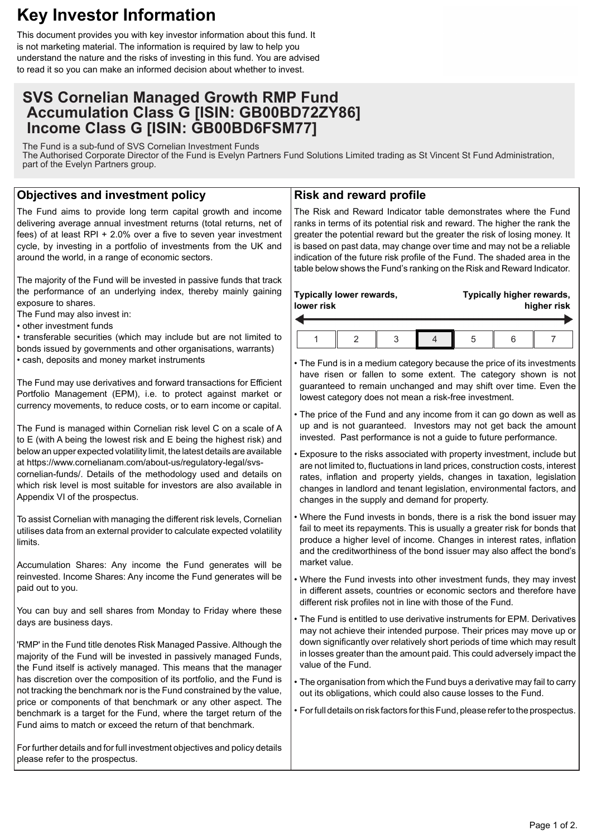# **Key Investor Information**

This document provides you with key investor information about this fund. It is not marketing material. The information is required by law to help you understand the nature and the risks of investing in this fund. You are advised to read it so you can make an informed decision about whether to invest.

## **SVS Cornelian Managed Growth RMP Fund Accumulation Class G [ISIN: GB00BD72ZY86] Income Class G [ISIN: GB00BD6FSM77]**

The Fund is a sub-fund of SVS Cornelian Investment Funds The Authorised Corporate Director of the Fund is Evelyn Partners Fund Solutions Limited trading as St Vincent St Fund Administration, part of the Evelyn Partners group.

### **Objectives and investment policy**

The Fund aims to provide long term capital growth and income delivering average annual investment returns (total returns, net of fees) of at least RPI + 2.0% over a five to seven year investment cycle, by investing in a portfolio of investments from the UK and around the world, in a range of economic sectors.

The majority of the Fund will be invested in passive funds that track the performance of an underlying index, thereby mainly gaining exposure to shares.

The Fund may also invest in:

• other investment funds

• transferable securities (which may include but are not limited to bonds issued by governments and other organisations, warrants)

• cash, deposits and money market instruments

The Fund may use derivatives and forward transactions for Efficient Portfolio Management (EPM), i.e. to protect against market or currency movements, to reduce costs, or to earn income or capital.

The Fund is managed within Cornelian risk level C on a scale of A to E (with A being the lowest risk and E being the highest risk) and below an upper expected volatility limit, the latest details are available at https://www.cornelianam.com/about-us/regulatory-legal/svs-

cornelian-funds/. Details of the methodology used and details on which risk level is most suitable for investors are also available in Appendix VI of the prospectus.

To assist Cornelian with managing the different risk levels, Cornelian utilises data from an external provider to calculate expected volatility limits.

Accumulation Shares: Any income the Fund generates will be reinvested. Income Shares: Any income the Fund generates will be paid out to you.

You can buy and sell shares from Monday to Friday where these days are business days.

'RMP' in the Fund title denotes Risk Managed Passive. Although the majority of the Fund will be invested in passively managed Funds, the Fund itself is actively managed. This means that the manager has discretion over the composition of its portfolio, and the Fund is not tracking the benchmark nor is the Fund constrained by the value, price or components of that benchmark or any other aspect. The benchmark is a target for the Fund, where the target return of the Fund aims to match or exceed the return of that benchmark.

For further details and for full investment objectives and policy details please refer to the prospectus.

#### **Risk and reward profile**

The Risk and Reward Indicator table demonstrates where the Fund ranks in terms of its potential risk and reward. The higher the rank the greater the potential reward but the greater the risk of losing money. It is based on past data, may change over time and may not be a reliable indication of the future risk profile of the Fund. The shaded area in the table below shows the Fund's ranking on the Risk and Reward Indicator.

| lower risk | Typically lower rewards, |  | Typically higher rewards,<br>higher risk |  |  |  |
|------------|--------------------------|--|------------------------------------------|--|--|--|
|            |                          |  |                                          |  |  |  |
|            |                          |  | .5                                       |  |  |  |

• The Fund is in a medium category because the price of its investments have risen or fallen to some extent. The category shown is not guaranteed to remain unchanged and may shift over time. Even the lowest category does not mean a risk-free investment.

• The price of the Fund and any income from it can go down as well as up and is not guaranteed. Investors may not get back the amount invested. Past performance is not a guide to future performance.

• Exposure to the risks associated with property investment, include but are not limited to, fluctuations in land prices, construction costs, interest rates, inflation and property yields, changes in taxation, legislation changes in landlord and tenant legislation, environmental factors, and changes in the supply and demand for property.

• Where the Fund invests in bonds, there is a risk the bond issuer may fail to meet its repayments. This is usually a greater risk for bonds that produce a higher level of income. Changes in interest rates, inflation and the creditworthiness of the bond issuer may also affect the bond's market value.

• Where the Fund invests into other investment funds, they may invest in different assets, countries or economic sectors and therefore have different risk profiles not in line with those of the Fund.

• The Fund is entitled to use derivative instruments for EPM. Derivatives may not achieve their intended purpose. Their prices may move up or down significantly over relatively short periods of time which may result in losses greater than the amount paid. This could adversely impact the value of the Fund.

• The organisation from which the Fund buys a derivative may fail to carry out its obligations, which could also cause losses to the Fund.

• For full details on risk factors for this Fund, please refer to the prospectus.